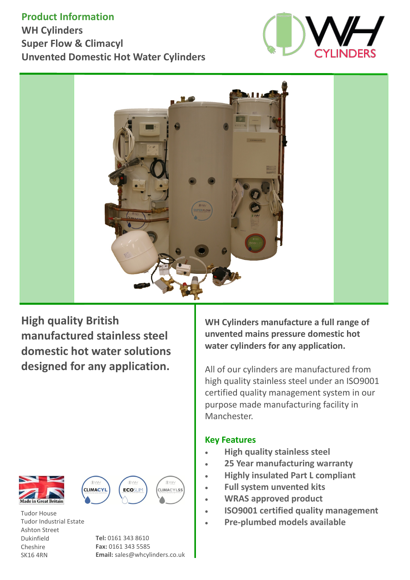## **Product Information**

**WH Cylinders Super Flow & Climacyl Unvented Domestic Hot Water Cylinders**





**High quality British manufactured stainless steel domestic hot water solutions designed for any application.** 







(DW-CLIMACYLSS

Tudor House Tudor Industrial Estate Ashton Street Dukinfield Cheshire SK16 4RN

**Tel:** 0161 343 8610 **Fax:** 0161 343 5585 **Email:** sales@whcylinders.co.uk **WH Cylinders manufacture a full range of unvented mains pressure domestic hot water cylinders for any application.**

All of our cylinders are manufactured from high quality stainless steel under an ISO9001 certified quality management system in our purpose made manufacturing facility in Manchester.

### **Key Features**

- **High quality stainless steel**
- **25 Year manufacturing warranty**
- **Highly insulated Part L compliant**
- **Full system unvented kits**
- **WRAS approved product**
- **ISO9001 certified quality management**
- **Pre-plumbed models available**